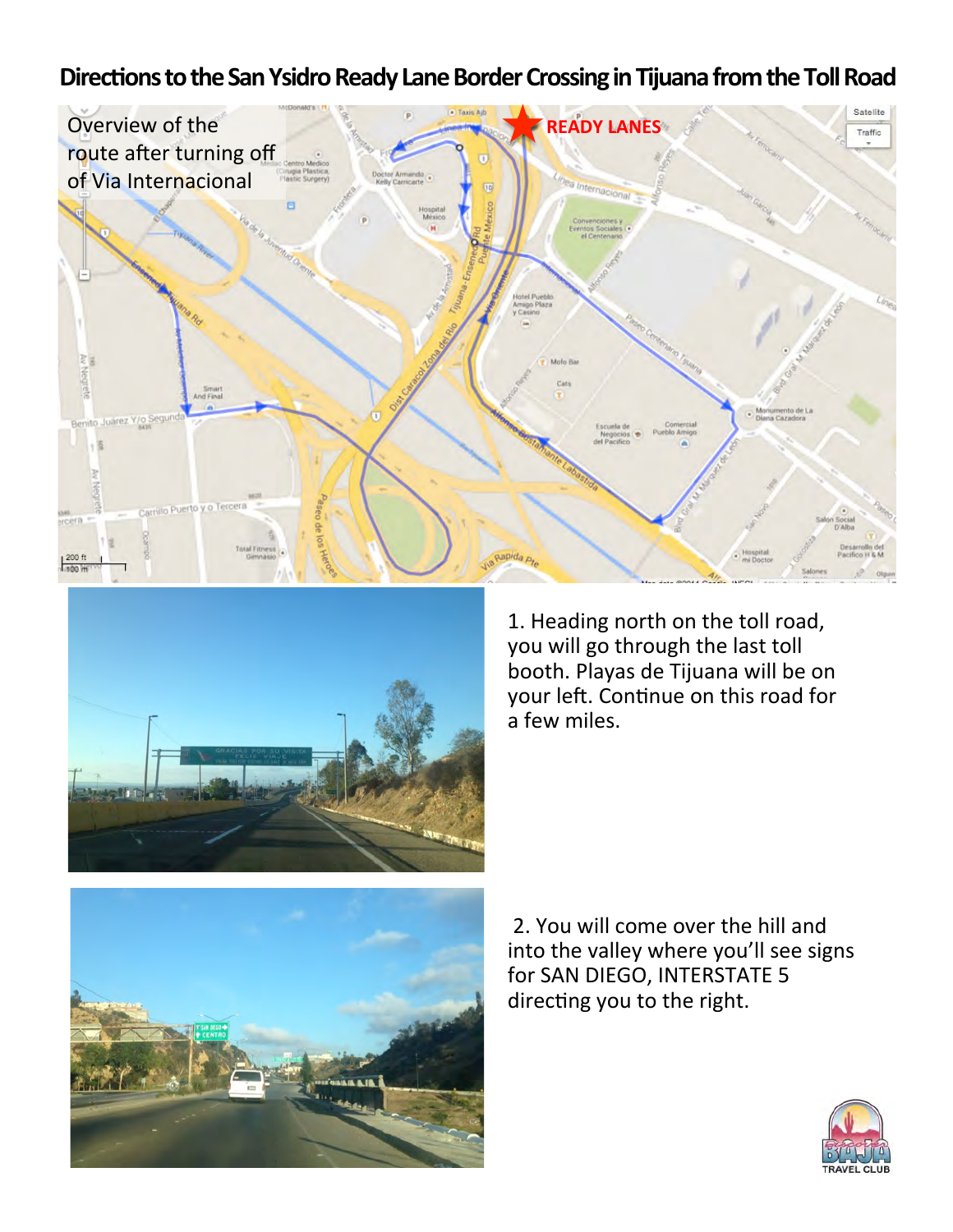## Directions to the San Ysidro Ready Lane Border Crossing in Tijuana from the Toll Road





1. Heading north on the toll road, you will go through the last toll booth. Playas de Tijuana will be on your left. Continue on this road for a few miles.

2. You will come over the hill and into the valley where you'll see signs for SAN DIEGO, INTERSTATE 5 directing you to the right.

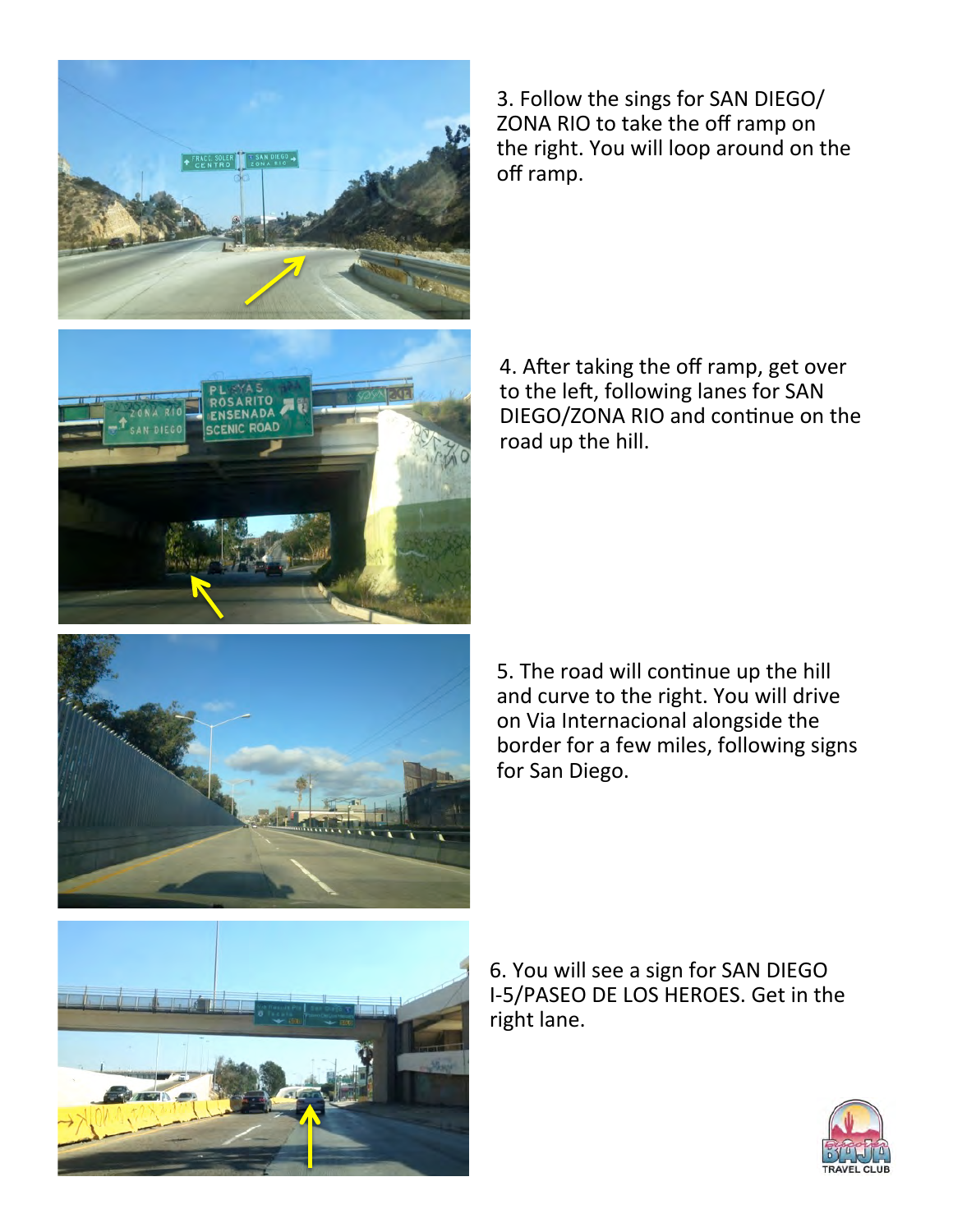

3. Follow the sings for SAN DIEGO/ ZONA RIO to take the off ramp on the right. You will loop around on the off ramp.

4. After taking the off ramp, get over to the left, following lanes for SAN DIEGO/ZONA RIO and continue on the road up the hill.



5. The road will continue up the hill and curve to the right. You will drive on Via Internacional alongside the border for a few miles, following signs for San Diego.



6. You will see a sign for SAN DIEGO I-5/PASEO DE LOS HEROES. Get in the right lane.

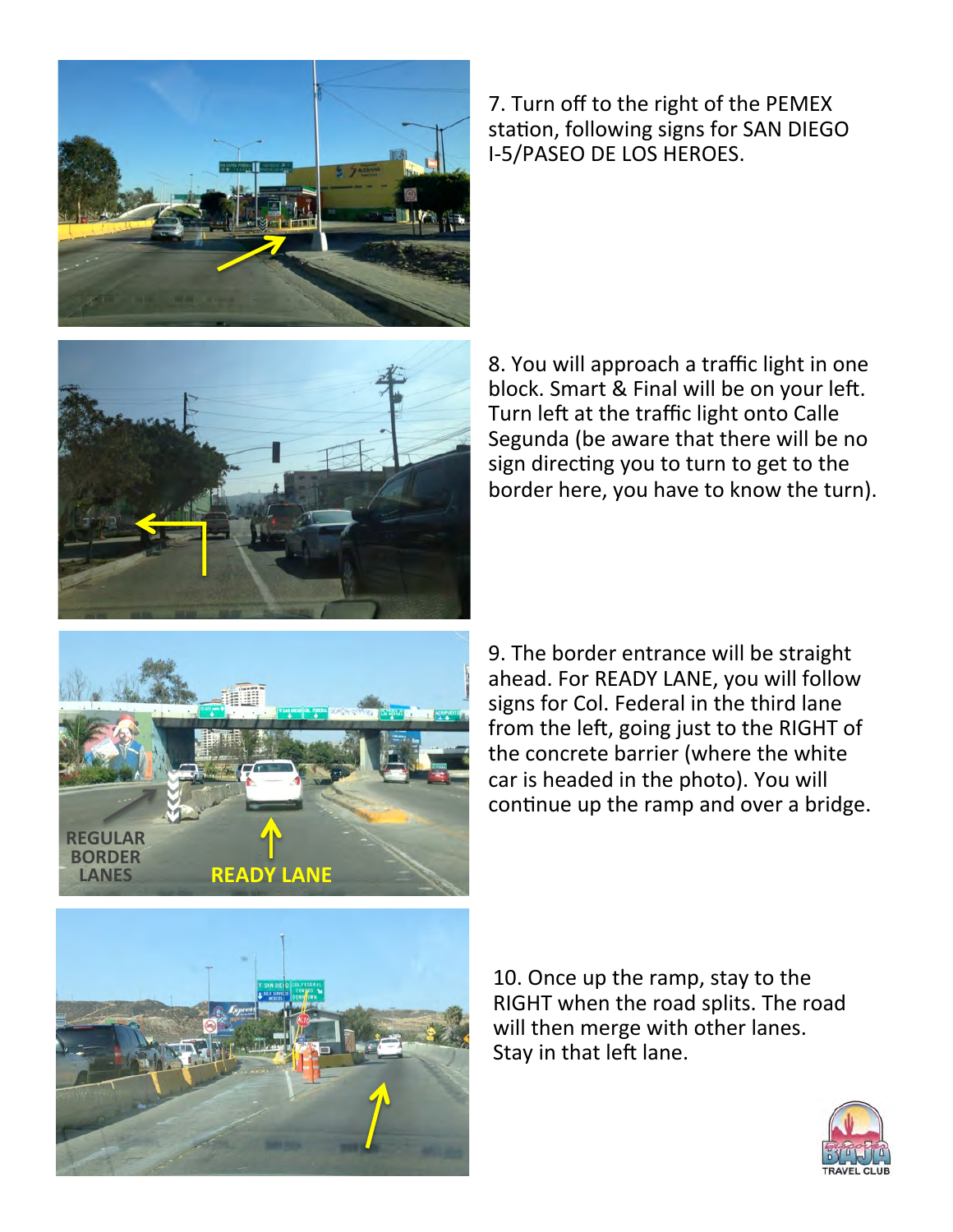

7. Turn off to the right of the PEMEX station, following signs for SAN DIEGO I-5/PASEO DE LOS HEROES.



8. You will approach a traffic light in one block. Smart & Final will be on your left. Turn left at the traffic light onto Calle Segunda (be aware that there will be no sign directing you to turn to get to the border here, you have to know the turn).



9. The border entrance will be straight ahead. For READY LANE, you will follow signs for Col. Federal in the third lane from the left, going just to the RIGHT of the concrete barrier (where the white car is headed in the photo). You will continue up the ramp and over a bridge.



10. Once up the ramp, stay to the RIGHT when the road splits. The road will then merge with other lanes. Stay in that left lane.

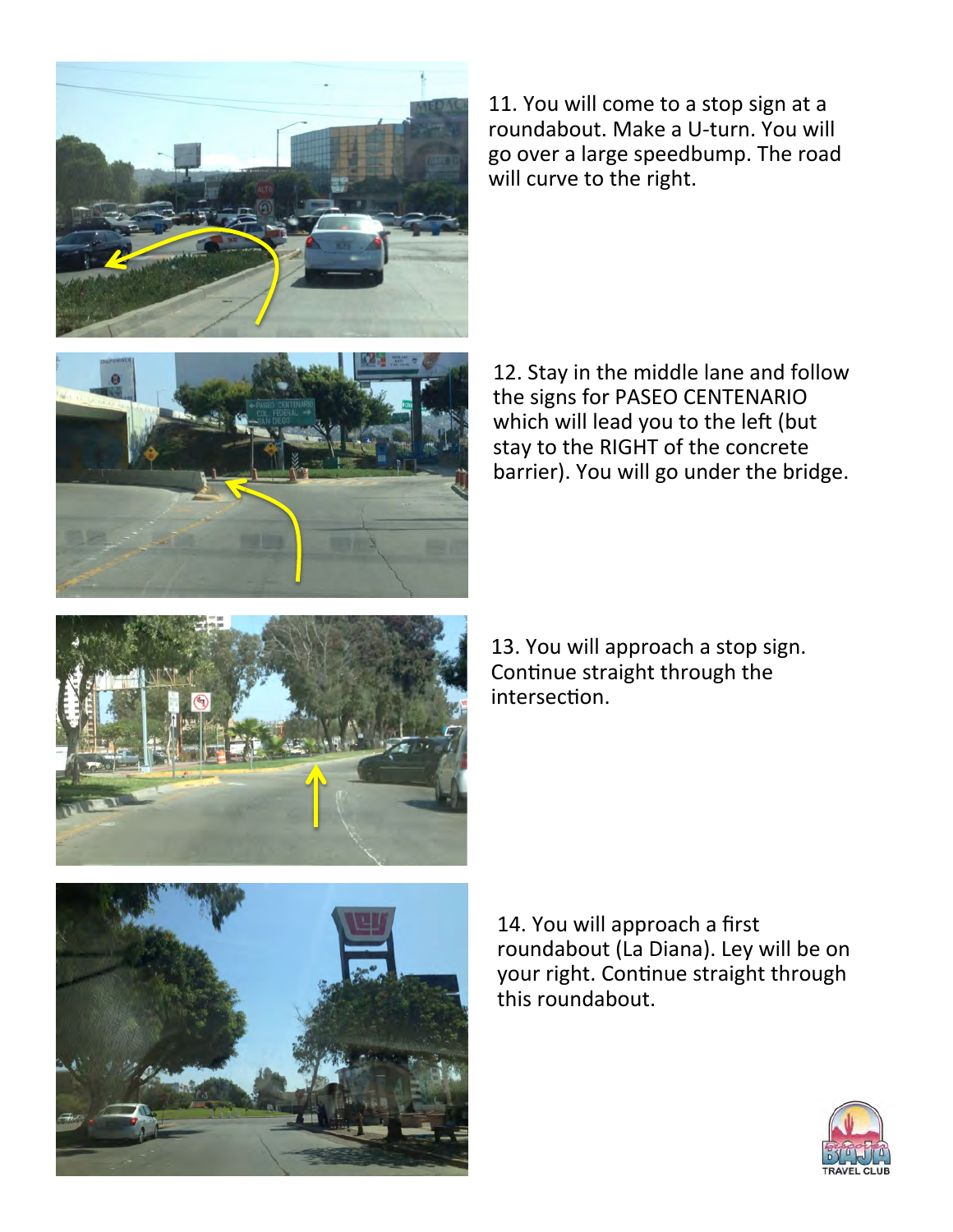

11. You will come to a stop sign at a roundabout. Make a U-turn. You will go over a large speedbump. The road will curve to the right.



12. Stay in the middle lane and follow the signs for PASEO CENTENARIO which will lead you to the left (but stay to the RIGHT of the concrete barrier). You will go under the bridge.



13. You will approach a stop sign. Continue straight through the intersection.



14. You will approach a first roundabout (La Diana). Ley will be on your right. Continue straight through this roundabout.

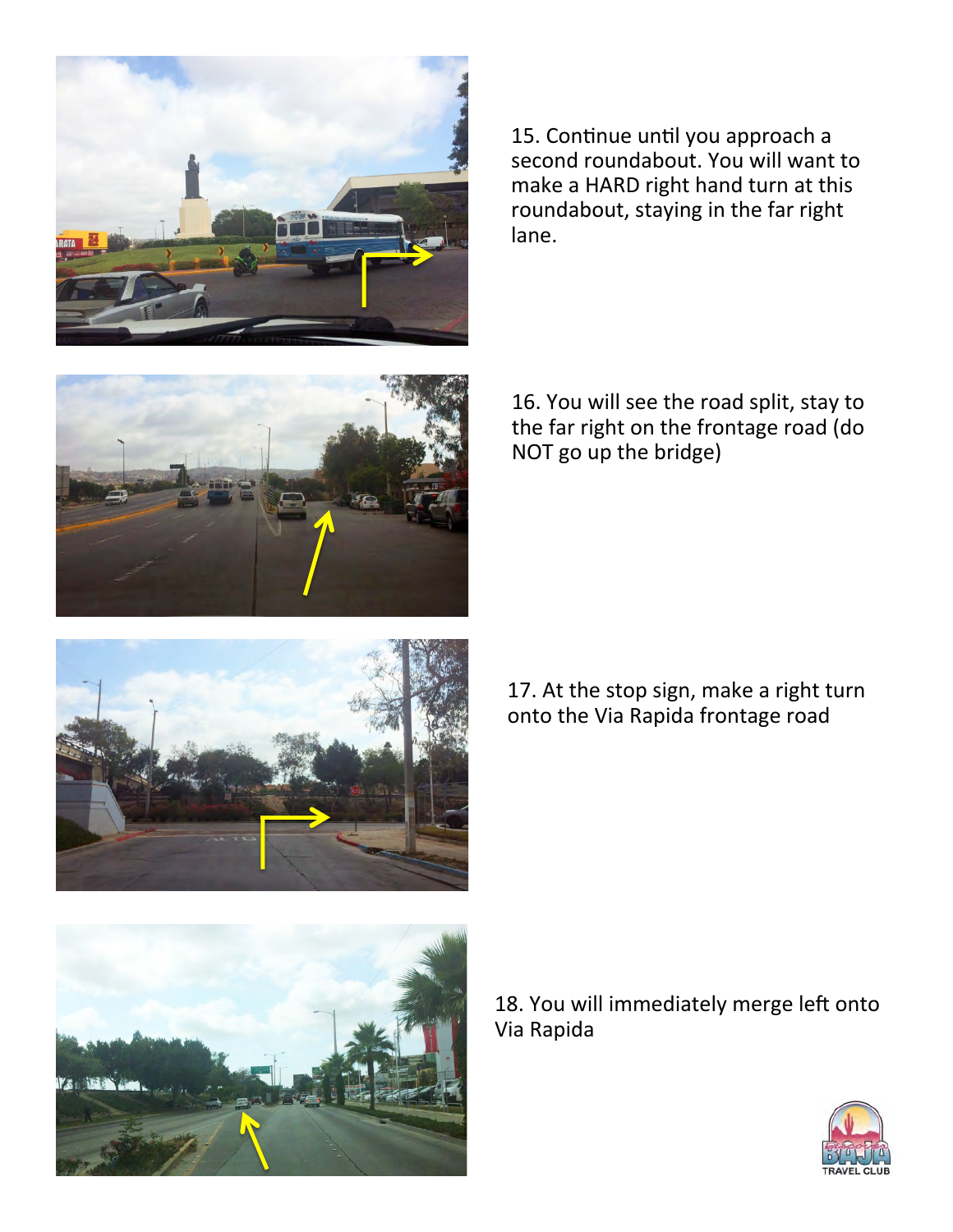

15. Continue until you approach a second roundabout. You will want to make a HARD right hand turn at this roundabout, staying in the far right lane. 



16. You will see the road split, stay to the far right on the frontage road (do NOT go up the bridge)



17. At the stop sign, make a right turn onto the Via Rapida frontage road



18. You will immediately merge left onto Via Rapida